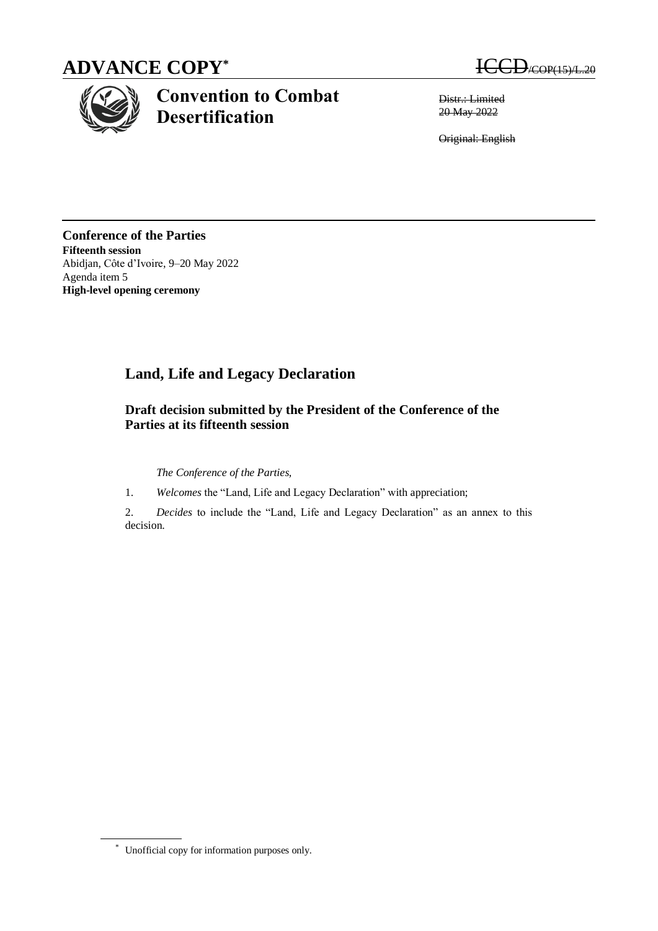# **ADVANCE COPY\***



# **Convention to Combat Desertification**

 $\bigcup_{i\in {\rm OP}(15)/{\rm L}.20}$ 

Distr.: Limited 20 May 2022

Original: English

**Conference of the Parties Fifteenth session** Abidjan, Côte d'Ivoire, 9–20 May 2022 Agenda item 5 **High-level opening ceremony**

## **Land, Life and Legacy Declaration**

### **Draft decision submitted by the President of the Conference of the Parties at its fifteenth session**

*The Conference of the Parties,* 

1. *Welcomes* the "Land, Life and Legacy Declaration" with appreciation;

2. *Decides* to include the "Land, Life and Legacy Declaration" as an annex to this decision.

<sup>\*</sup> Unofficial copy for information purposes only.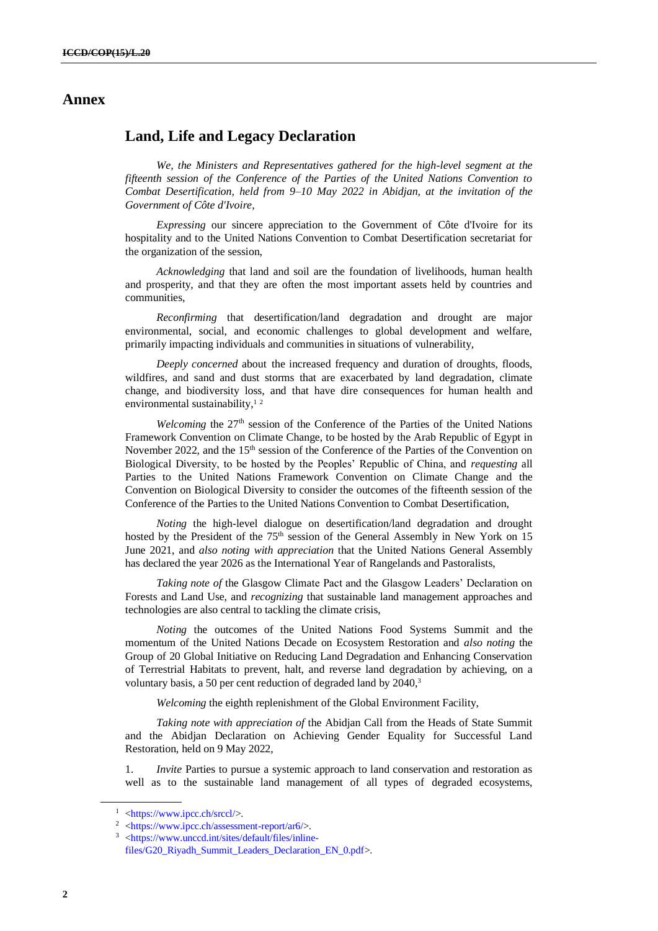### **Annex**

### **Land, Life and Legacy Declaration**

*We, the Ministers and Representatives gathered for the high-level segment at the fifteenth session of the Conference of the Parties of the United Nations Convention to Combat Desertification, held from 9–10 May 2022 in Abidjan, at the invitation of the Government of Côte d'Ivoire,*

*Expressing* our sincere appreciation to the Government of Côte d'Ivoire for its hospitality and to the United Nations Convention to Combat Desertification secretariat for the organization of the session,

*Acknowledging* that land and soil are the foundation of livelihoods, human health and prosperity, and that they are often the most important assets held by countries and communities,

*Reconfirming* that desertification/land degradation and drought are major environmental, social, and economic challenges to global development and welfare, primarily impacting individuals and communities in situations of vulnerability,

*Deeply concerned* about the increased frequency and duration of droughts, floods, wildfires, and sand and dust storms that are exacerbated by land degradation, climate change, and biodiversity loss, and that have dire consequences for human health and environmental sustainability, $12$ 

*Welcoming* the 27<sup>th</sup> session of the Conference of the Parties of the United Nations Framework Convention on Climate Change, to be hosted by the Arab Republic of Egypt in November 2022, and the 15<sup>th</sup> session of the Conference of the Parties of the Convention on Biological Diversity, to be hosted by the Peoples' Republic of China, and *requesting* all Parties to the United Nations Framework Convention on Climate Change and the Convention on Biological Diversity to consider the outcomes of the fifteenth session of the Conference of the Parties to the United Nations Convention to Combat Desertification,

*Noting* the high-level dialogue on desertification/land degradation and drought hosted by the President of the 75<sup>th</sup> session of the General Assembly in New York on 15 June 2021, and *also noting with appreciation* that the United Nations General Assembly has declared the year 2026 as the International Year of Rangelands and Pastoralists,

*Taking note of* the Glasgow Climate Pact and the Glasgow Leaders' Declaration on Forests and Land Use, and *recognizing* that sustainable land management approaches and technologies are also central to tackling the climate crisis,

*Noting* the outcomes of the United Nations Food Systems Summit and the momentum of the United Nations Decade on Ecosystem Restoration and *also noting* the Group of 20 Global Initiative on Reducing Land Degradation and Enhancing Conservation of Terrestrial Habitats to prevent, halt, and reverse land degradation by achieving, on a voluntary basis, a 50 per cent reduction of degraded land by 2040,<sup>3</sup>

*Welcoming* the eighth replenishment of the Global Environment Facility,

*Taking note with appreciation of* the Abidjan Call from the Heads of State Summit and the Abidjan Declaration on Achieving Gender Equality for Successful Land Restoration, held on 9 May 2022,

1. *Invite* Parties to pursue a systemic approach to land conservation and restoration as well as to the sustainable land management of all types of degraded ecosystems,

<sup>1</sup> [<https://www.ipcc.ch/srccl/>](https://www.ipcc.ch/srccl/).

 $\frac{2}{10}$  [<https://www.ipcc.ch/assessment-report/ar6/>](https://www.ipcc.ch/assessment-report/ar6/).

<sup>3</sup> [<https://www.unccd.int/sites/default/files/inline](https://www.unccd.int/sites/default/files/inline-files/G20_Riyadh_Summit_Leaders_Declaration_EN_0.pdf)[files/G20\\_Riyadh\\_Summit\\_Leaders\\_Declaration\\_EN\\_0.pdf>](https://www.unccd.int/sites/default/files/inline-files/G20_Riyadh_Summit_Leaders_Declaration_EN_0.pdf).